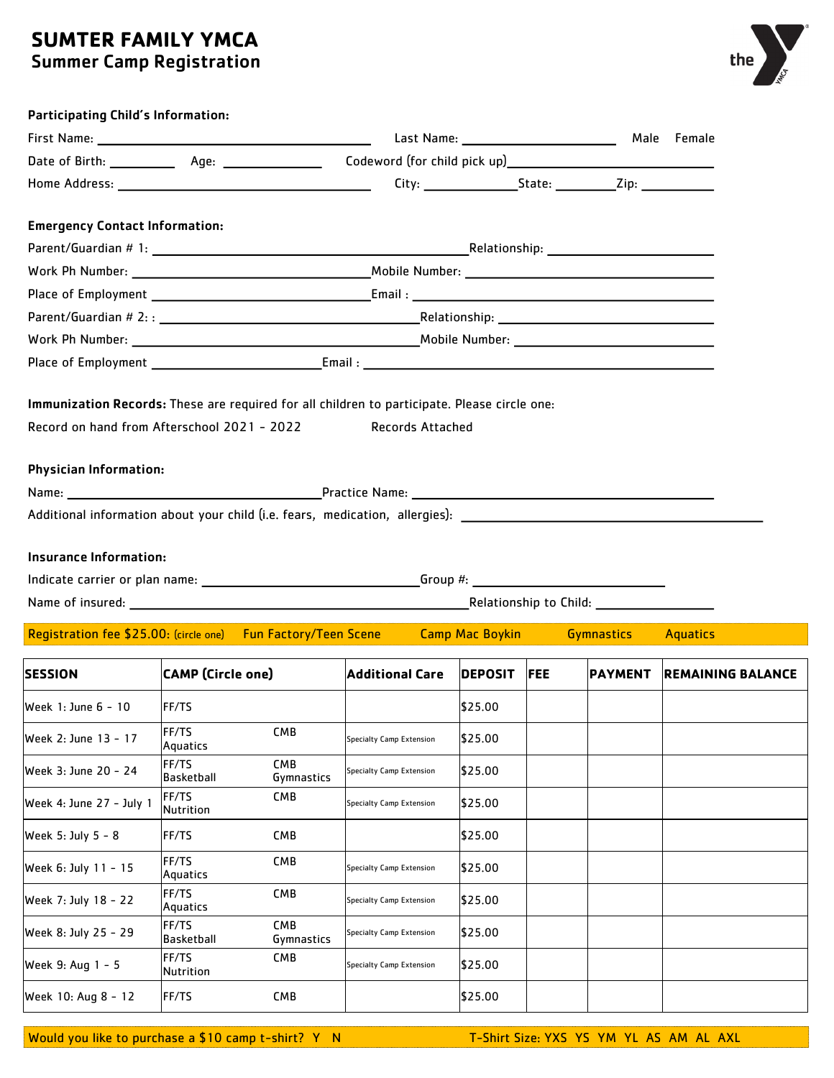## **SUMTER FAMILY YMCA** Summer Camp Registration



| <b>Participating Child's Information:</b> |                                                                                                                |                        |                |            |                |                          |  |  |
|-------------------------------------------|----------------------------------------------------------------------------------------------------------------|------------------------|----------------|------------|----------------|--------------------------|--|--|
|                                           |                                                                                                                |                        |                |            | Male Female    |                          |  |  |
|                                           |                                                                                                                |                        |                |            |                |                          |  |  |
|                                           |                                                                                                                |                        |                |            |                |                          |  |  |
| <b>Emergency Contact Information:</b>     |                                                                                                                |                        |                |            |                |                          |  |  |
|                                           |                                                                                                                |                        |                |            |                |                          |  |  |
|                                           |                                                                                                                |                        |                |            |                |                          |  |  |
|                                           |                                                                                                                |                        |                |            |                |                          |  |  |
|                                           |                                                                                                                |                        |                |            |                |                          |  |  |
|                                           |                                                                                                                |                        |                |            |                |                          |  |  |
|                                           |                                                                                                                |                        |                |            |                |                          |  |  |
| <b>Physician Information:</b>             |                                                                                                                |                        |                |            |                |                          |  |  |
|                                           |                                                                                                                |                        |                |            |                |                          |  |  |
|                                           |                                                                                                                |                        |                |            |                |                          |  |  |
|                                           | Additional information about your child (i.e. fears, medication, allergies): _________________________________ |                        |                |            |                |                          |  |  |
| <b>Insurance Information:</b>             |                                                                                                                |                        |                |            |                |                          |  |  |
|                                           |                                                                                                                |                        |                |            |                |                          |  |  |
|                                           |                                                                                                                |                        |                |            |                |                          |  |  |
|                                           | Registration fee \$25.00: (circle one) Fun Factory/Teen Scene Camp Mac Boykin Gymnastics                       |                        |                |            |                | <b>Aquatics</b>          |  |  |
| <b>SESSION</b>                            | <b>CAMP</b> (Circle one)                                                                                       | <b>Additional Care</b> | <b>DEPOSIT</b> | <b>FEE</b> | <b>PAYMENT</b> | <b>REMAINING BALANCE</b> |  |  |
| Week 1: June 6 - 10                       | <b>FF/TS</b>                                                                                                   |                        | \$25.00        |            |                |                          |  |  |
|                                           | <b>Contract Contract</b>                                                                                       |                        |                |            |                |                          |  |  |

| lWeek 1: June 6 - 10     | FF/TS                     |                          |                          | \$25.00 |  |  |
|--------------------------|---------------------------|--------------------------|--------------------------|---------|--|--|
| Week 2: June 13 - 17     | FF/TS<br>Aquatics         | <b>CMB</b>               | Specialty Camp Extension | \$25.00 |  |  |
| Week 3: June 20 - 24     | FF/TS<br>Basketball       | <b>CMB</b><br>Gymnastics | Specialty Camp Extension | \$25.00 |  |  |
| Week 4: June 27 - July 1 | FF/TS<br><b>Nutrition</b> | <b>CMB</b>               | Specialty Camp Extension | \$25.00 |  |  |
| Week 5: July 5 - 8       | <b>FF/TS</b>              | <b>CMB</b>               |                          | \$25.00 |  |  |
| Week 6: July 11 - 15     | FF/TS<br>Aquatics         | <b>CMB</b>               | Specialty Camp Extension | \$25.00 |  |  |
| Week 7: July 18 - 22     | FF/TS<br>Aquatics         | <b>CMB</b>               | Specialty Camp Extension | \$25.00 |  |  |
| Week 8: July 25 - 29     | FF/TS<br>Basketball       | <b>CMB</b><br>Gymnastics | Specialty Camp Extension | \$25.00 |  |  |
| Week 9: Aug 1 - 5        | FF/TS<br><b>Nutrition</b> | <b>CMB</b>               | Specialty Camp Extension | \$25.00 |  |  |
| Week 10: Aug 8 - 12      | <b>FF/TS</b>              | <b>CMB</b>               |                          | \$25.00 |  |  |